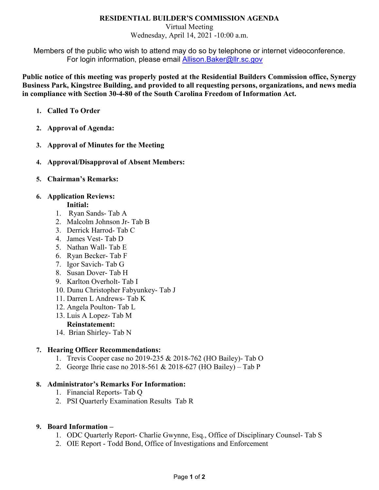## **RESIDENTIAL BUILDER'S COMMISSION AGENDA**

Virtual Meeting Wednesday, April 14, 2021 -10:00 a.m.

Members of the public who wish to attend may do so by telephone or internet videoconference. For login information, please email Allison. Baker@llr.sc.gov

**Public notice of this meeting was properly posted at the Residential Builders Commission office, Synergy Business Park, Kingstree Building, and provided to all requesting persons, organizations, and news media in compliance with Section 30-4-80 of the South Carolina Freedom of Information Act.**

- **1. Called To Order**
- **2. Approval of Agenda:**
- **3. Approval of Minutes for the Meeting**
- **4. Approval/Disapproval of Absent Members:**
- **5. Chairman's Remarks:**

# **6. Application Reviews:**

## **Initial:**

- 1. Ryan Sands- Tab A
- 2. Malcolm Johnson Jr- Tab B
- 3. Derrick Harrod- Tab C
- 4. James Vest- Tab D
- 5. Nathan Wall- Tab E
- 6. Ryan Becker- Tab F
- 7. Igor Savich- Tab G
- 8. Susan Dover- Tab H
- 9. Karlton Overholt- Tab I
- 10. Dunu Christopher Fabyunkey- Tab J
- 11. Darren L Andrews- Tab K
- 12. Angela Poulton- Tab L
- 13. Luis A Lopez- Tab M

## **Reinstatement:**

14. Brian Shirley- Tab N

## **7. Hearing Officer Recommendations:**

- 1. Trevis Cooper case no 2019-235 & 2018-762 (HO Bailey)- Tab O
- 2. George Ihrie case no 2018-561 & 2018-627 (HO Bailey) Tab P

## **8. Administrator's Remarks For Information:**

- 1. Financial Reports- Tab Q
- 2. PSI Quarterly Examination Results Tab R

# **9. Board Information –**

- 1. ODC Quarterly Report- Charlie Gwynne, Esq., Office of Disciplinary Counsel- Tab S
- 2. OIE Report Todd Bond, Office of Investigations and Enforcement